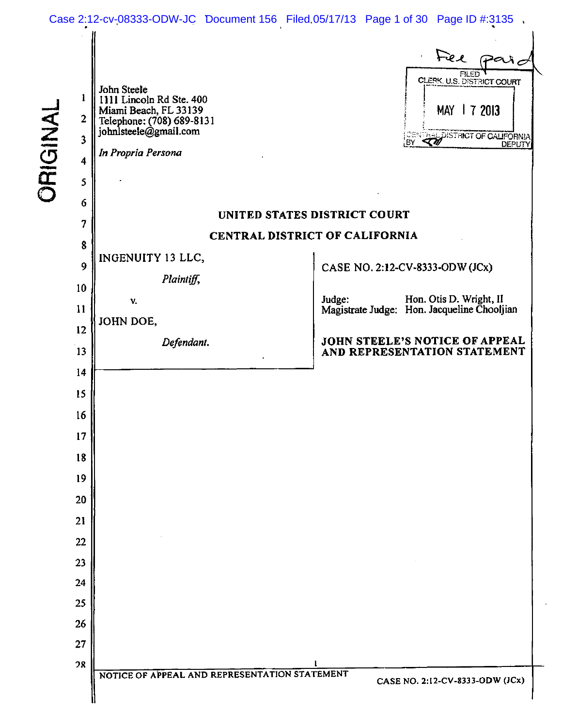# Case 2:12-cv-08333-ODW-JC Document 156 Filed 05/17/13 Page 1 of 30 Page ID #:3135

ORIGINAL

| 1<br>$\overline{2}$<br>$\overline{\mathbf{3}}$<br>$\overline{\mathbf{4}}$<br>5<br>$6\phantom{1}6$<br>7 | John Steele<br>1111 Lincoln Rd Ste. 400<br>Miami Beach, FL 33139<br>Telephone: (708) 689-8131<br>johnlsteele@gmail.com<br>In Propria Persona<br>UNITED STATES DISTRICT COURT | Fee parc<br>à.<br><b>FILED</b><br>CLERK, U.S. DISTRICT COURT<br>MAY 17 2013<br><b>CENTAAL DISTRICT OF CALIFORNIA</b><br>BY.<br><b>DEPUTY</b>                                       |
|--------------------------------------------------------------------------------------------------------|------------------------------------------------------------------------------------------------------------------------------------------------------------------------------|------------------------------------------------------------------------------------------------------------------------------------------------------------------------------------|
|                                                                                                        |                                                                                                                                                                              | CENTRAL DISTRICT OF CALIFORNIA                                                                                                                                                     |
| 8<br>9<br>10<br>11<br>12<br>13<br>14<br>15<br>16<br>17<br>18<br>19<br>20<br>21<br>22                   | INGENUITY 13 LLC,<br>Plaintiff,<br>v.<br>JOHN DOE,<br>Defendant.                                                                                                             | CASE NO. 2:12-CV-8333-ODW (JCx)<br>Judge: Hon. Otis D. Wright, II<br>Magistrate Judge: Hon. Jacqueline Chooljian<br>JOHN STEELE'S NOTICE OF APPEAL<br>AND REPRESENTATION STATEMENT |
| 23                                                                                                     |                                                                                                                                                                              |                                                                                                                                                                                    |
| 24<br>25                                                                                               |                                                                                                                                                                              |                                                                                                                                                                                    |
| 26                                                                                                     |                                                                                                                                                                              |                                                                                                                                                                                    |
| 27                                                                                                     |                                                                                                                                                                              |                                                                                                                                                                                    |
| 28                                                                                                     | NOTICE OF APPEAL AND REPRESENTATION STATEMENT                                                                                                                                |                                                                                                                                                                                    |
|                                                                                                        |                                                                                                                                                                              | CASE NO. 2:12-CV-8333-ODW (JCx)                                                                                                                                                    |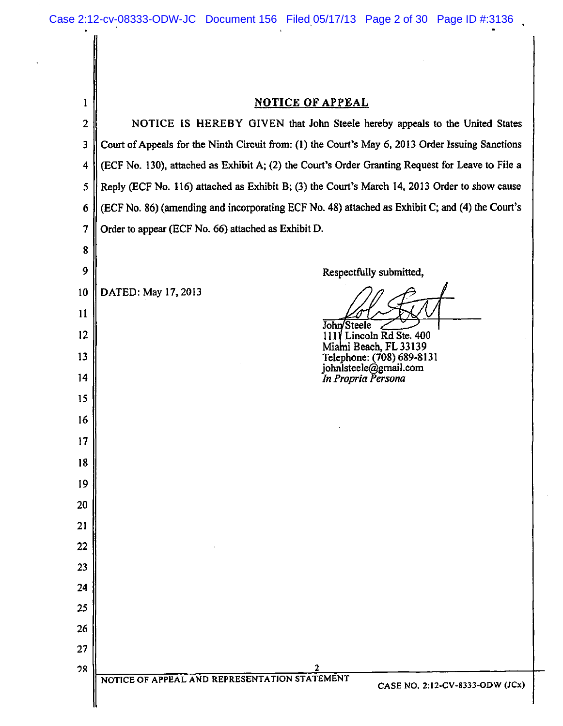| 1              | <b>NOTICE OF APPEAL</b>                                                                          |  |  |
|----------------|--------------------------------------------------------------------------------------------------|--|--|
| $\overline{2}$ | NOTICE IS HEREBY GIVEN that John Steele hereby appeals to the United States                      |  |  |
| 3              | Court of Appeals for the Ninth Circuit from: (1) the Court's May 6, 2013 Order Issuing Sanctions |  |  |
| 4              | (ECF No. 130), attached as Exhibit A; (2) the Court's Order Granting Request for Leave to File a |  |  |
| 5              | Reply (ECF No. 116) attached as Exhibit B; (3) the Court's March 14, 2013 Order to show cause    |  |  |
| 6              | (ECF No. 86) (amending and incorporating ECF No. 48) attached as Exhibit C; and (4) the Court's  |  |  |
| 7              | Order to appear (ECF No. 66) attached as Exhibit D.                                              |  |  |
| 8              |                                                                                                  |  |  |
| 9              | Respectfully submitted,                                                                          |  |  |
| 10             | DATED: May 17, 2013                                                                              |  |  |
| 11             | John/Steele                                                                                      |  |  |
| 12             | 1111 Lincoln Rd Ste. 400                                                                         |  |  |
| 13             | Miami Beach, FL 33139<br>Telephone: (708) 689-8131                                               |  |  |
| 14             | johnisteele@gmail.com<br>In Propria Persona                                                      |  |  |
| 15             |                                                                                                  |  |  |
| 16             |                                                                                                  |  |  |
| 17             |                                                                                                  |  |  |
| 18             |                                                                                                  |  |  |
| 19             |                                                                                                  |  |  |
| 20             |                                                                                                  |  |  |
| 21             |                                                                                                  |  |  |
| 22             |                                                                                                  |  |  |
| 23             |                                                                                                  |  |  |
| 24             |                                                                                                  |  |  |
| 25             |                                                                                                  |  |  |
| 26             |                                                                                                  |  |  |
| 27             |                                                                                                  |  |  |
| 28             | 2<br>NOTICE OF APPEAL AND REPRESENTATION STATEMENT<br>CASE NO. 2:12-CV-8333-ODW (JCx)            |  |  |
|                |                                                                                                  |  |  |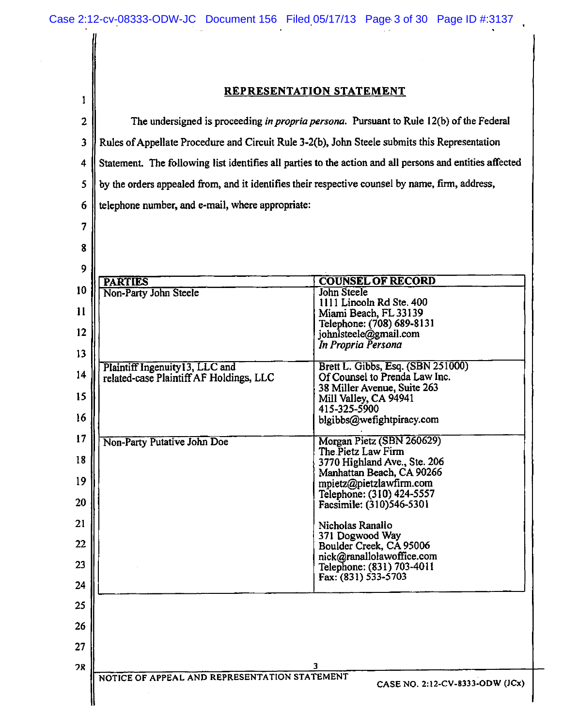#### REPRESENTATION STATEMENT

| 1                       |                                                                                               |                                                                                                          |  |  |  |
|-------------------------|-----------------------------------------------------------------------------------------------|----------------------------------------------------------------------------------------------------------|--|--|--|
| $\overline{2}$          | The undersigned is proceeding in propria persona. Pursuant to Rule 12(b) of the Federal       |                                                                                                          |  |  |  |
| 3                       | Rules of Appellate Procedure and Circuit Rule 3-2(b), John Steele submits this Representation |                                                                                                          |  |  |  |
| $\overline{\mathbf{4}}$ |                                                                                               | Statement. The following list identifies all parties to the action and all persons and entities affected |  |  |  |
| 5                       |                                                                                               | by the orders appealed from, and it identifies their respective counsel by name, firm, address,          |  |  |  |
| 6                       | telephone number, and e-mail, where appropriate:                                              |                                                                                                          |  |  |  |
| 7                       |                                                                                               |                                                                                                          |  |  |  |
| 8                       |                                                                                               |                                                                                                          |  |  |  |
| 9                       |                                                                                               |                                                                                                          |  |  |  |
|                         | <b>PARTIES</b>                                                                                | <b>COUNSEL OF RECORD</b>                                                                                 |  |  |  |
| 10                      | Non-Party John Steele                                                                         | John Steele                                                                                              |  |  |  |
| 11                      |                                                                                               | 1111 Lincoln Rd Ste. 400<br>Miami Beach, FL 33139                                                        |  |  |  |
| 12                      |                                                                                               | Telephone: (708) 689-8131<br>johnlsteele@gmail.com                                                       |  |  |  |
| 13                      |                                                                                               | In Propria Persona                                                                                       |  |  |  |
| 14                      | Plaintiff Ingenuity 13, LLC and<br>related-case Plaintiff AF Holdings, LLC                    | Brett L. Gibbs, Esq. (SBN 251000)<br>Of Counsel to Prenda Law Inc.                                       |  |  |  |
| 15                      |                                                                                               | 38 Miller Avenue, Suite 263<br>Mill Valley, CA 94941                                                     |  |  |  |
| 16                      |                                                                                               | 415-325-5900                                                                                             |  |  |  |
| 17                      |                                                                                               | blgibbs@wefightpiracy.com                                                                                |  |  |  |
| 18                      | Non-Party Putative John Doe                                                                   | Morgan Pietz (SBN 260629)<br>The Pietz Law Firm                                                          |  |  |  |
|                         |                                                                                               | 3770 Highland Ave., Ste. 206<br>Manhattan Beach, CA 90266                                                |  |  |  |
| 19                      |                                                                                               | mpietz@pietzlawfirm.com<br>Telephone: (310) 424-5557                                                     |  |  |  |
| 20                      |                                                                                               | Facsimile: (310)546-5301                                                                                 |  |  |  |
| 21                      |                                                                                               | Nicholas Ranallo<br>371 Dogwood Way                                                                      |  |  |  |
| 22                      |                                                                                               | Boulder Creek, CA 95006<br>nick@ranallolawoffice.com                                                     |  |  |  |
| 23                      |                                                                                               | Telephone: (831) 703-4011                                                                                |  |  |  |
| 24                      |                                                                                               | $\text{Fax: } (831)$ 533-5703                                                                            |  |  |  |
| 25                      |                                                                                               |                                                                                                          |  |  |  |
| 26                      |                                                                                               |                                                                                                          |  |  |  |
| 27                      |                                                                                               |                                                                                                          |  |  |  |
| 28                      |                                                                                               | 3                                                                                                        |  |  |  |
|                         | NOTICE OF APPEAL AND REPRESENTATION STATEMENT                                                 | CASE NO. 2:12-CV-8333-ODW (JCx)                                                                          |  |  |  |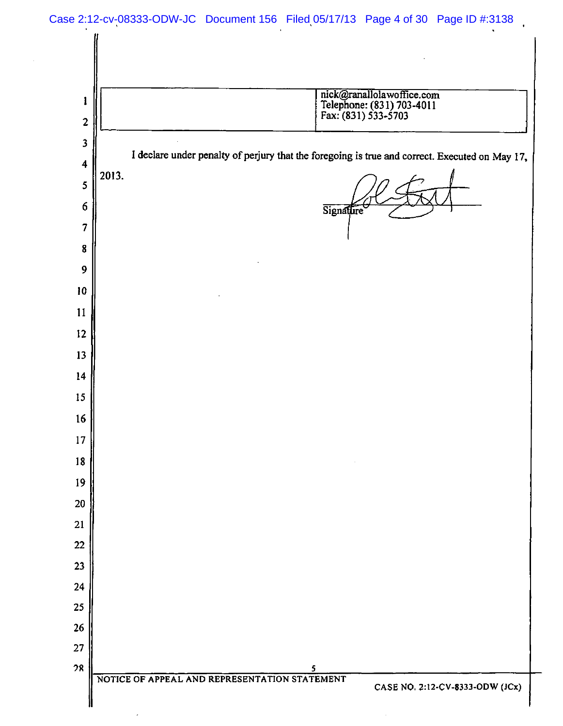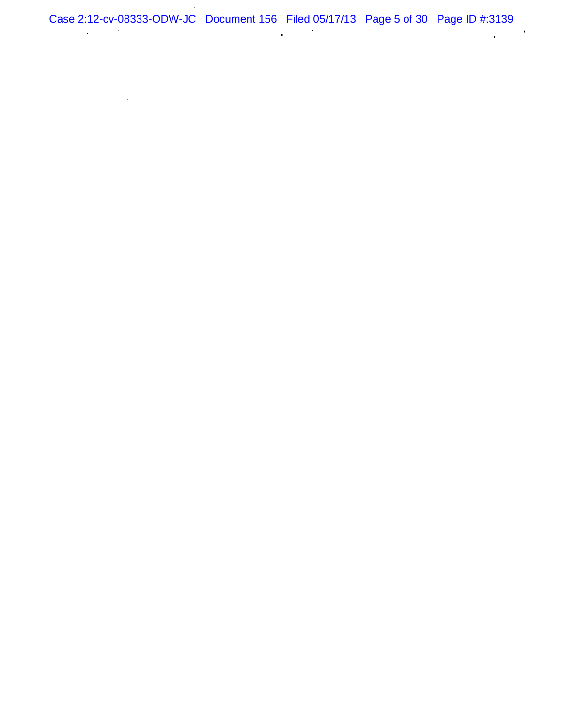Case 2:12-cv-08333-ODW-JC Document 156 Filed 05/17/13 Page 5 of 30 Page ID #:3139

 $\Delta\Delta\Delta\approx 0.1$ 

 $\mathcal{L}^{\text{max}}_{\text{max}}$  and  $\mathcal{L}^{\text{max}}_{\text{max}}$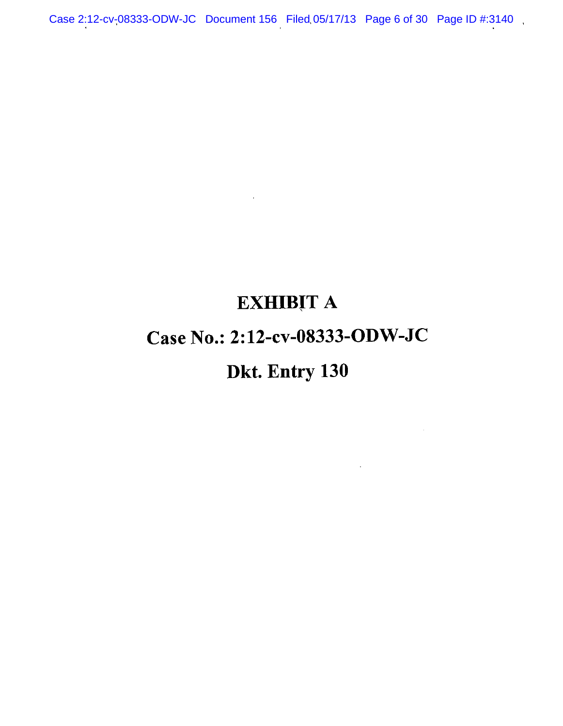Case 2:12-cv-08333-ODW-JC Document 156 Filed 05/17/13 Page 6 of 30 Page ID #:3140

# **EXHIBIT A**

## Case No.: 2:12-cv-08333-ODW-JC

# Dkt. Entry 130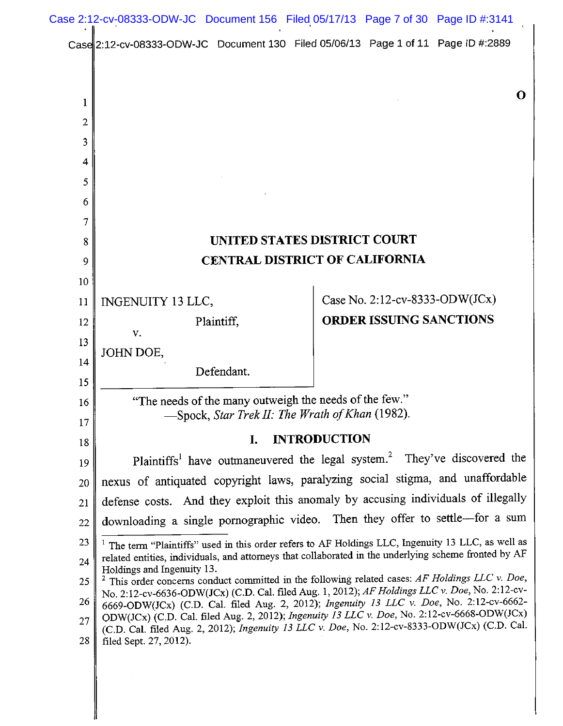|                |                                                                                                                                                                                            | Case 2:12-cv-08333-ODW-JC Document 156 Filed 05/17/13 Page 7 of 30 Page ID #:3141                                                                                                            |  |
|----------------|--------------------------------------------------------------------------------------------------------------------------------------------------------------------------------------------|----------------------------------------------------------------------------------------------------------------------------------------------------------------------------------------------|--|
|                | Case 2:12-cv-08333-ODW-JC Document 130 Filed 05/06/13 Page 1 of 11 Page ID #:2889                                                                                                          |                                                                                                                                                                                              |  |
|                |                                                                                                                                                                                            |                                                                                                                                                                                              |  |
| 1              |                                                                                                                                                                                            |                                                                                                                                                                                              |  |
| $\overline{2}$ |                                                                                                                                                                                            |                                                                                                                                                                                              |  |
| 3              |                                                                                                                                                                                            |                                                                                                                                                                                              |  |
| 4              |                                                                                                                                                                                            |                                                                                                                                                                                              |  |
| 5              |                                                                                                                                                                                            |                                                                                                                                                                                              |  |
| 6              |                                                                                                                                                                                            |                                                                                                                                                                                              |  |
| 7              |                                                                                                                                                                                            |                                                                                                                                                                                              |  |
| 8              | UNITED STATES DISTRICT COURT                                                                                                                                                               |                                                                                                                                                                                              |  |
| 9              |                                                                                                                                                                                            | <b>CENTRAL DISTRICT OF CALIFORNIA</b>                                                                                                                                                        |  |
| 10             |                                                                                                                                                                                            |                                                                                                                                                                                              |  |
| 11             | INGENUITY 13 LLC,                                                                                                                                                                          | Case No. 2:12-cv-8333-ODW(JCx)                                                                                                                                                               |  |
| 12             | Plaintiff,<br>V.                                                                                                                                                                           | <b>ORDER ISSUING SANCTIONS</b>                                                                                                                                                               |  |
| 13             | JOHN DOE,                                                                                                                                                                                  |                                                                                                                                                                                              |  |
| 14             | Defendant.                                                                                                                                                                                 |                                                                                                                                                                                              |  |
| 15             |                                                                                                                                                                                            |                                                                                                                                                                                              |  |
| 16<br>17       | "The needs of the many outweigh the needs of the few."<br>-Spock, Star Trek II: The Wrath of Khan (1982).                                                                                  |                                                                                                                                                                                              |  |
| 18             | I.                                                                                                                                                                                         | <b>INTRODUCTION</b>                                                                                                                                                                          |  |
| 19             | Plaintiffs <sup>1</sup> have outmaneuvered the legal system. <sup>2</sup> They've discovered the                                                                                           |                                                                                                                                                                                              |  |
| 20             | nexus of antiquated copyright laws, paralyzing social stigma, and unaffordable                                                                                                             |                                                                                                                                                                                              |  |
| 21             | defense costs. And they exploit this anomaly by accusing individuals of illegally                                                                                                          |                                                                                                                                                                                              |  |
| 22             | downloading a single pornographic video. Then they offer to settle-for a sum                                                                                                               |                                                                                                                                                                                              |  |
| 23             | <sup>1</sup> The term "Plaintiffs" used in this order refers to AF Holdings LLC, Ingenuity 13 LLC, as well as                                                                              |                                                                                                                                                                                              |  |
| 24             | related entities, individuals, and attorneys that collaborated in the underlying scheme fronted by AF<br>Holdings and Ingenuity 13.                                                        |                                                                                                                                                                                              |  |
| 25             | $2$ This order concerns conduct committed in the following related cases: AF Holdings LLC v. Doe,                                                                                          |                                                                                                                                                                                              |  |
| 26             | No. 2:12-cv-6636-ODW(JCx) (C.D. Cal. filed Aug. 1, 2012); AF Holdings LLC v. Doe, No. 2:12-cv-<br>6669-ODW(JCx) (C.D. Cal. filed Aug. 2, 2012); Ingenuity 13 LLC v. Doe, No. 2:12-cv-6662- |                                                                                                                                                                                              |  |
| 27             |                                                                                                                                                                                            | ODW(JCx) (C.D. Cal. filed Aug. 2, 2012); Ingenuity 13 LLC v. Doe, No. 2:12-cv-6668-ODW(JCx)<br>(C.D. Cal. filed Aug. 2, 2012); Ingenuity 13 LLC v. Doe, No. 2:12-cv-8333-ODW(JCx) (C.D. Cal. |  |
|                | filed Sept. 27, 2012).                                                                                                                                                                     |                                                                                                                                                                                              |  |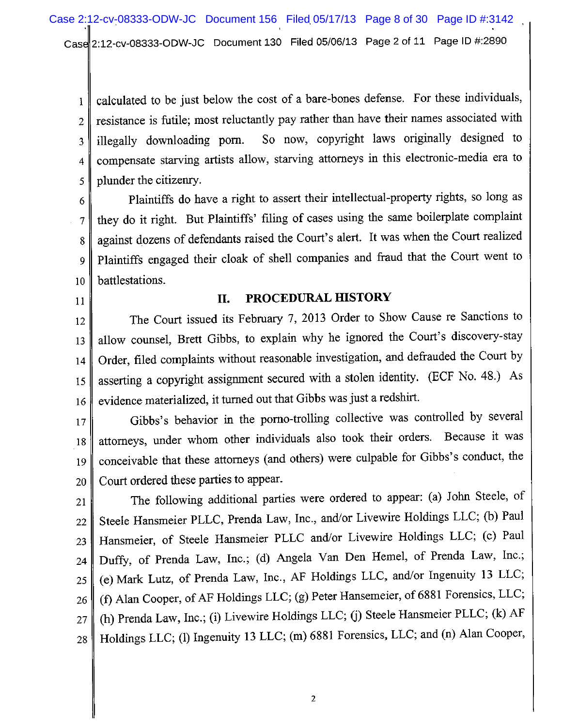calculated to be just below the cost of a bare-bones defense. For these individuals,  $\mathbf{1}$ resistance is futile; most reluctantly pay rather than have their names associated with  $\overline{2}$ So now, copyright laws originally designed to illegally downloading porn. 3 compensate starving artists allow, starving attorneys in this electronic-media era to  $\overline{4}$ plunder the citizenry. 5

Plaintiffs do have a right to assert their intellectual-property rights, so long as 6 they do it right. But Plaintiffs' filing of cases using the same boilerplate complaint  $\tau$ against dozens of defendants raised the Court's alert. It was when the Court realized 8 Plaintiffs engaged their cloak of shell companies and fraud that the Court went to 9 battlestations. 10

11

#### PROCEDURAL HISTORY II.

The Court issued its February 7, 2013 Order to Show Cause re Sanctions to 12 allow counsel, Brett Gibbs, to explain why he ignored the Court's discovery-stay 13 Order, filed complaints without reasonable investigation, and defrauded the Court by 14 asserting a copyright assignment secured with a stolen identity. (ECF No. 48.) As 15 evidence materialized, it turned out that Gibbs was just a redshirt. 16

Gibbs's behavior in the porno-trolling collective was controlled by several 17 attorneys, under whom other individuals also took their orders. Because it was 18 conceivable that these attorneys (and others) were culpable for Gibbs's conduct, the 19 Court ordered these parties to appear. 20

The following additional parties were ordered to appear: (a) John Steele, of 21 Steele Hansmeier PLLC, Prenda Law, Inc., and/or Livewire Holdings LLC; (b) Paul 22 Hansmeier, of Steele Hansmeier PLLC and/or Livewire Holdings LLC; (c) Paul 23 Duffy, of Prenda Law, Inc.; (d) Angela Van Den Hemel, of Prenda Law, Inc.; 24 (e) Mark Lutz, of Prenda Law, Inc., AF Holdings LLC, and/or Ingenuity 13 LLC; 25 (f) Alan Cooper, of AF Holdings LLC; (g) Peter Hansemeier, of 6881 Forensics, LLC; 26 (h) Prenda Law, Inc.; (i) Livewire Holdings LLC; (j) Steele Hansmeier PLLC; (k) AF 27 Holdings LLC; (1) Ingenuity 13 LLC; (m) 6881 Forensics, LLC; and (n) Alan Cooper, 28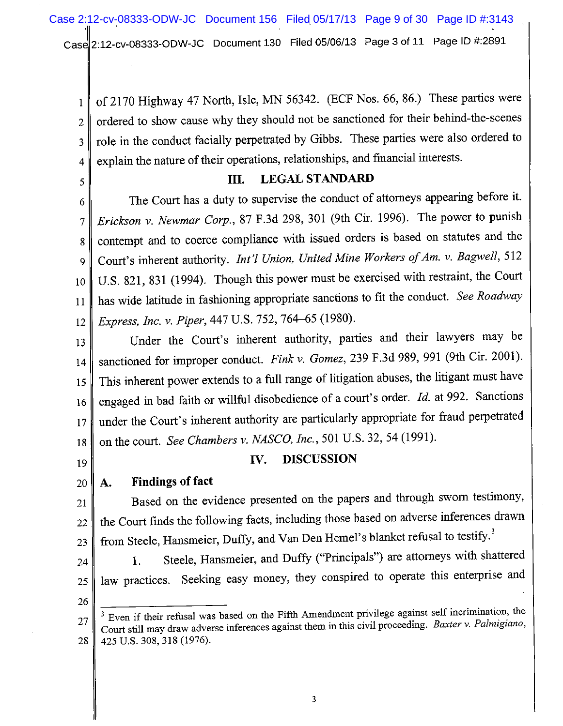of 2170 Highway 47 North, Isle, MN 56342. (ECF Nos. 66, 86.) These parties were  $\mathbf{1}$ ordered to show cause why they should not be sanctioned for their behind-the-scenes  $\overline{2}$ role in the conduct facially perpetrated by Gibbs. These parties were also ordered to 3 explain the nature of their operations, relationships, and financial interests.  $\overline{\mathbf{4}}$ 

5

#### **LEGAL STANDARD** III.

The Court has a duty to supervise the conduct of attorneys appearing before it. 6 Erickson v. Newmar Corp., 87 F.3d 298, 301 (9th Cir. 1996). The power to punish  $\overline{7}$ contempt and to coerce compliance with issued orders is based on statutes and the 8 Court's inherent authority. Int'l Union, United Mine Workers of Am. v. Bagwell, 512 9 U.S. 821, 831 (1994). Though this power must be exercised with restraint, the Court  $10$ has wide latitude in fashioning appropriate sanctions to fit the conduct. See Roadway  $11$ Express, Inc. v. Piper, 447 U.S. 752, 764-65 (1980). 12

Under the Court's inherent authority, parties and their lawyers may be 13 sanctioned for improper conduct. Fink v. Gomez, 239 F.3d 989, 991 (9th Cir. 2001).  $14$ This inherent power extends to a full range of litigation abuses, the litigant must have 15 engaged in bad faith or willful disobedience of a court's order. Id. at 992. Sanctions 16 under the Court's inherent authority are particularly appropriate for fraud perpetrated 17 on the court. See Chambers v. NASCO, Inc., 501 U.S. 32, 54 (1991). 18

19

#### **DISCUSSION** IV.

**Findings of fact**  $\mathbf{A}$ . 20

Based on the evidence presented on the papers and through sworn testimony, 21 the Court finds the following facts, including those based on adverse inferences drawn 22 from Steele, Hansmeier, Duffy, and Van Den Hemel's blanket refusal to testify.<sup>3</sup> 23

Steele, Hansmeier, and Duffy ("Principals") are attorneys with shattered  $1.$ 24 law practices. Seeking easy money, they conspired to operate this enterprise and 25

26

3

<sup>&</sup>lt;sup>3</sup> Even if their refusal was based on the Fifth Amendment privilege against self-incrimination, the 27 Court still may draw adverse inferences against them in this civil proceeding. Baxter v. Palmigiano, 28 425 U.S. 308, 318 (1976).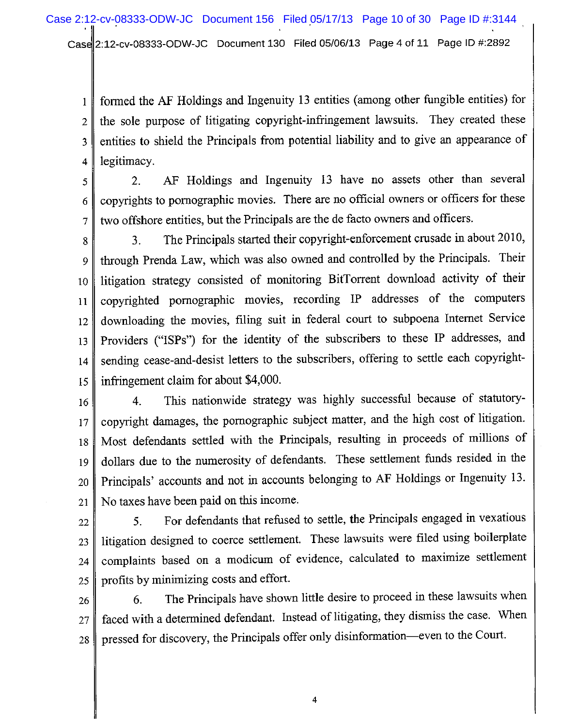Case 2:12-cv-08333-ODW-JC Document 156 Filed 05/17/13 Page 10 of 30 Page ID #:3144 Case 2:12-cv-08333-ODW-JC Document 130 Filed 05/06/13 Page 4 of 11 Page ID #:2892

formed the AF Holdings and Ingenuity 13 entities (among other fungible entities) for  $\mathbf{1}$ the sole purpose of litigating copyright-infringement lawsuits. They created these  $\overline{2}$ entities to shield the Principals from potential liability and to give an appearance of 3 legitimacy.  $\overline{4}$ 

5

6

 $\overline{7}$ 

AF Holdings and Ingenuity 13 have no assets other than several  $\overline{2}$ . copyrights to pornographic movies. There are no official owners or officers for these two offshore entities, but the Principals are the de facto owners and officers.

The Principals started their copyright-enforcement crusade in about 2010,  $3<sup>1</sup>$ 8 through Prenda Law, which was also owned and controlled by the Principals. Their 9 litigation strategy consisted of monitoring BitTorrent download activity of their 10 copyrighted pornographic movies, recording IP addresses of the computers 11 downloading the movies, filing suit in federal court to subpoena Internet Service 12 Providers ("ISPs") for the identity of the subscribers to these IP addresses, and 13 sending cease-and-desist letters to the subscribers, offering to settle each copyright- $14$ infringement claim for about \$4,000. 15

- This nationwide strategy was highly successful because of statutory- $\overline{4}$ . 16 copyright damages, the pornographic subject matter, and the high cost of litigation. 17 Most defendants settled with the Principals, resulting in proceeds of millions of 18 dollars due to the numerosity of defendants. These settlement funds resided in the 19 Principals' accounts and not in accounts belonging to AF Holdings or Ingenuity 13. 20 No taxes have been paid on this income. 21
- 22

For defendants that refused to settle, the Principals engaged in vexatious  $5<sub>1</sub>$ litigation designed to coerce settlement. These lawsuits were filed using boilerplate 23 complaints based on a modicum of evidence, calculated to maximize settlement 24 profits by minimizing costs and effort. 25

The Principals have shown little desire to proceed in these lawsuits when 6. 26 faced with a determined defendant. Instead of litigating, they dismiss the case. When 27 pressed for discovery, the Principals offer only disinformation-even to the Court. 28

 $\overline{4}$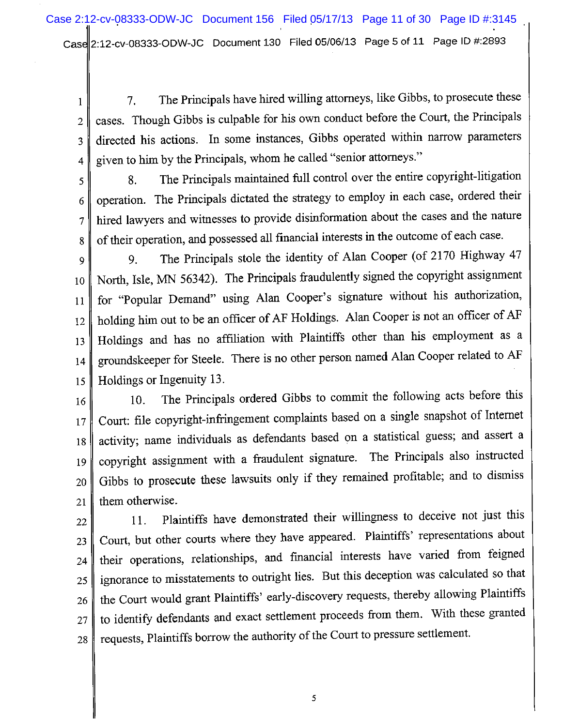Case 2:12-cv-08333-ODW-JC Document 130 Filed 05/06/13 Page 5 of 11 Page ID #:2893

The Principals have hired willing attorneys, like Gibbs, to prosecute these  $7.$  $\mathbf{1}$ cases. Though Gibbs is culpable for his own conduct before the Court, the Principals  $\overline{2}$ directed his actions. In some instances, Gibbs operated within narrow parameters  $\overline{3}$ given to him by the Principals, whom he called "senior attorneys." 4

5

6

 $\overline{7}$ 

8

The Principals maintained full control over the entire copyright-litigation 8. operation. The Principals dictated the strategy to employ in each case, ordered their hired lawyers and witnesses to provide disinformation about the cases and the nature of their operation, and possessed all financial interests in the outcome of each case.

The Principals stole the identity of Alan Cooper (of 2170 Highway 47 9. 9 North, Isle, MN 56342). The Principals fraudulently signed the copyright assignment 10 for "Popular Demand" using Alan Cooper's signature without his authorization, 11 holding him out to be an officer of AF Holdings. Alan Cooper is not an officer of AF 12 Holdings and has no affiliation with Plaintiffs other than his employment as a 13 groundskeeper for Steele. There is no other person named Alan Cooper related to AF  $14$ Holdings or Ingenuity 13. 15

The Principals ordered Gibbs to commit the following acts before this 10. 16 Court: file copyright-infringement complaints based on a single snapshot of Internet 17 activity; name individuals as defendants based on a statistical guess; and assert a 18 copyright assignment with a fraudulent signature. The Principals also instructed 19 Gibbs to prosecute these lawsuits only if they remained profitable; and to dismiss 20 them otherwise. 21

Plaintiffs have demonstrated their willingness to deceive not just this 11. 22 Court, but other courts where they have appeared. Plaintiffs' representations about 23 their operations, relationships, and financial interests have varied from feigned 24 ignorance to misstatements to outright lies. But this deception was calculated so that 25 the Court would grant Plaintiffs' early-discovery requests, thereby allowing Plaintiffs 26 to identify defendants and exact settlement proceeds from them. With these granted 27 requests, Plaintiffs borrow the authority of the Court to pressure settlement. 28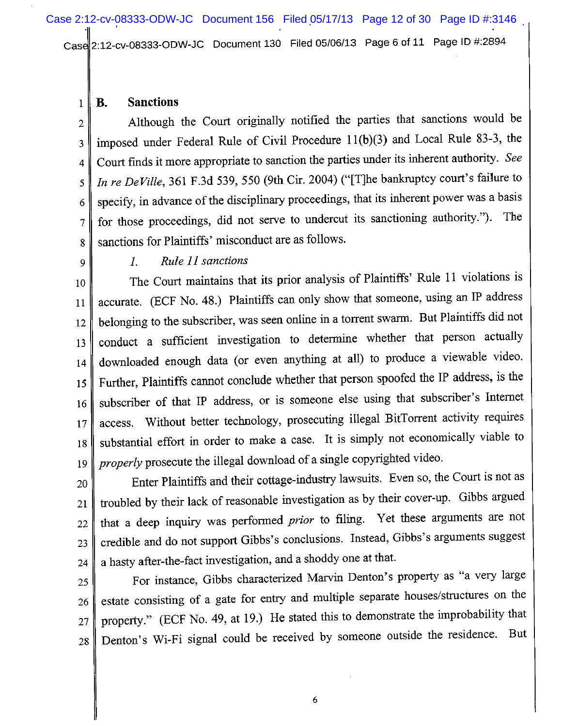Case 2:12-cv-08333-ODW-JC Document 156 Filed 05/17/13 Page 12 of 30 Page ID #:3146

Case 2:12-cv-08333-ODW-JC Document 130 Filed 05/06/13 Page 6 of 11 Page ID #:2894

#### **Sanctions B.**

Although the Court originally notified the parties that sanctions would be  $\overline{2}$ imposed under Federal Rule of Civil Procedure 11(b)(3) and Local Rule 83-3, the 3 Court finds it more appropriate to sanction the parties under its inherent authority. See 4 In re DeVille, 361 F.3d 539, 550 (9th Cir. 2004) ("[T]he bankruptcy court's failure to 5 specify, in advance of the disciplinary proceedings, that its inherent power was a basis 6 for those proceedings, did not serve to undercut its sanctioning authority."). The  $7\phantom{.0}$ sanctions for Plaintiffs' misconduct are as follows. 8

9

 $\mathbf{1}$ 

#### $\overline{L}$ Rule 11 sanctions

The Court maintains that its prior analysis of Plaintiffs' Rule 11 violations is 10 accurate. (ECF No. 48.) Plaintiffs can only show that someone, using an IP address 11 belonging to the subscriber, was seen online in a torrent swarm. But Plaintiffs did not  $12$ conduct a sufficient investigation to determine whether that person actually 13 downloaded enough data (or even anything at all) to produce a viewable video.  $14$ Further, Plaintiffs cannot conclude whether that person spoofed the IP address, is the  $15$ subscriber of that IP address, or is someone else using that subscriber's Internet 16 access. Without better technology, prosecuting illegal BitTorrent activity requires  $17$ substantial effort in order to make a case. It is simply not economically viable to 18 properly prosecute the illegal download of a single copyrighted video. 19

Enter Plaintiffs and their cottage-industry lawsuits. Even so, the Court is not as 20 troubled by their lack of reasonable investigation as by their cover-up. Gibbs argued 21 that a deep inquiry was performed *prior* to filing. Yet these arguments are not 22 credible and do not support Gibbs's conclusions. Instead, Gibbs's arguments suggest 23 a hasty after-the-fact investigation, and a shoddy one at that. 24

For instance, Gibbs characterized Marvin Denton's property as "a very large 25 estate consisting of a gate for entry and multiple separate houses/structures on the 26 property." (ECF No. 49, at 19.) He stated this to demonstrate the improbability that 27 Denton's Wi-Fi signal could be received by someone outside the residence. But 28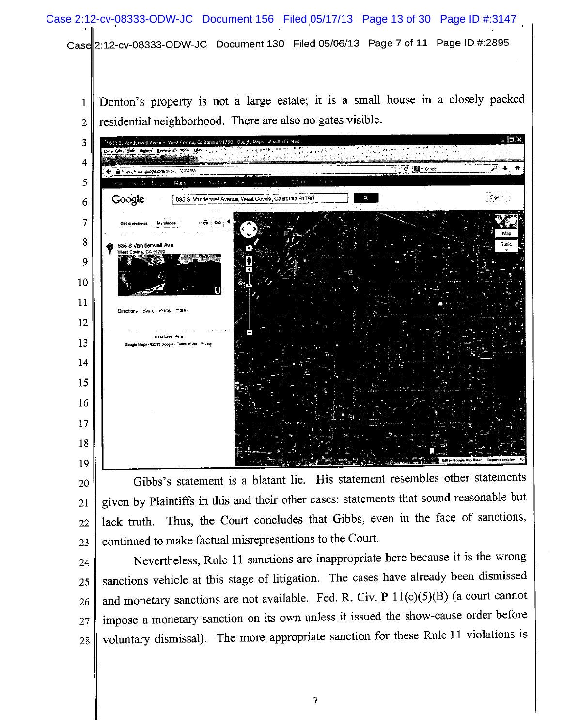

Denton's property is not a large estate; it is a small house in a closely packed  $\mathbf{1}$ residential neighborhood. There are also no gates visible.  $\overline{2}$ 



Gibbs's statement is a blatant lie. His statement resembles other statements 20 given by Plaintiffs in this and their other cases: statements that sound reasonable but 21 lack truth. Thus, the Court concludes that Gibbs, even in the face of sanctions, 22 continued to make factual misrepresentions to the Court. 23

Nevertheless, Rule 11 sanctions are inappropriate here because it is the wrong 24 sanctions vehicle at this stage of litigation. The cases have already been dismissed 25 and monetary sanctions are not available. Fed. R. Civ. P 11(c)(5)(B) (a court cannot 26 impose a monetary sanction on its own unless it issued the show-cause order before 27 voluntary dismissal). The more appropriate sanction for these Rule 11 violations is 28

 $\overline{7}$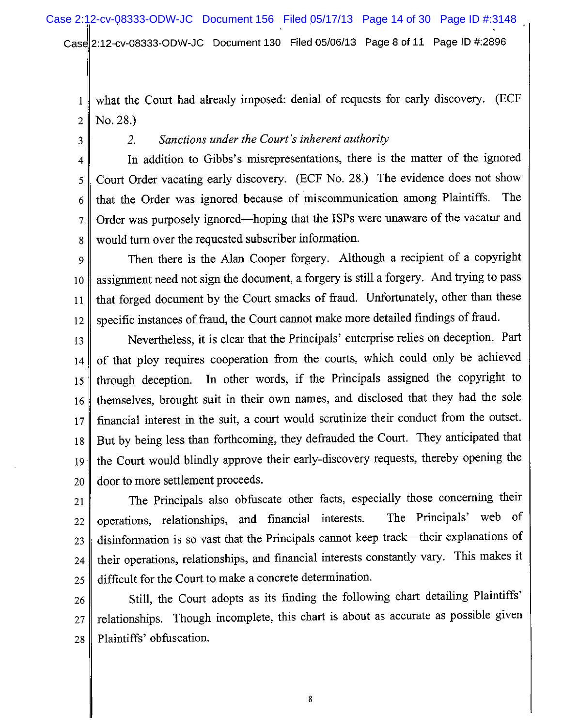Case 2:12-cv-08333-ODW-JC Document 130 Filed 05/06/13 Page 8 of 11 Page ID #:2896

what the Court had already imposed: denial of requests for early discovery. (ECF  $\mathbf{1}$ No. 28.)  $\overline{2}$ 

 $\overline{3}$ 

#### Sanctions under the Court's inherent authority  $2.$

In addition to Gibbs's misrepresentations, there is the matter of the ignored  $\overline{\mathbf{4}}$ Court Order vacating early discovery. (ECF No. 28.) The evidence does not show 5 that the Order was ignored because of miscommunication among Plaintiffs. The 6 Order was purposely ignored—hoping that the ISPs were unaware of the vacatur and  $\tau$ would turn over the requested subscriber information. 8

Then there is the Alan Cooper forgery. Although a recipient of a copyright 9 assignment need not sign the document, a forgery is still a forgery. And trying to pass 10 that forged document by the Court smacks of fraud. Unfortunately, other than these 11 specific instances of fraud, the Court cannot make more detailed findings of fraud.  $12$ 

Nevertheless, it is clear that the Principals' enterprise relies on deception. Part 13 of that ploy requires cooperation from the courts, which could only be achieved 14 through deception. In other words, if the Principals assigned the copyright to 15 themselves, brought suit in their own names, and disclosed that they had the sole 16 financial interest in the suit, a court would scrutinize their conduct from the outset. 17 But by being less than forthcoming, they defrauded the Court. They anticipated that 18 the Court would blindly approve their early-discovery requests, thereby opening the 19 door to more settlement proceeds. 20

The Principals also obfuscate other facts, especially those concerning their 21 operations, relationships, and financial interests. The Principals' web of 22 disinformation is so vast that the Principals cannot keep track—their explanations of 23 their operations, relationships, and financial interests constantly vary. This makes it 24 difficult for the Court to make a concrete determination. 25

Still, the Court adopts as its finding the following chart detailing Plaintiffs' 26 relationships. Though incomplete, this chart is about as accurate as possible given 27 Plaintiffs' obfuscation. 28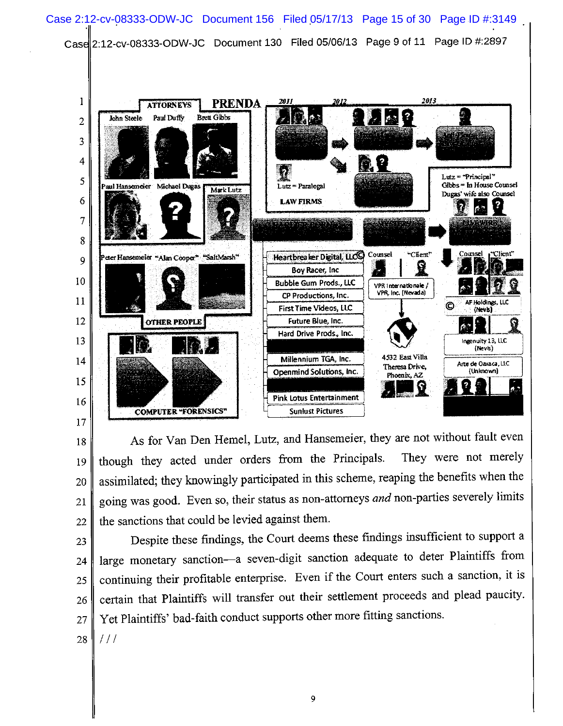

As for Van Den Hemel, Lutz, and Hansemeier, they are not without fault even 18 They were not merely though they acted under orders from the Principals. 19 assimilated; they knowingly participated in this scheme, reaping the benefits when the 20 going was good. Even so, their status as non-attorneys and non-parties severely limits 21 the sanctions that could be levied against them. 22

Despite these findings, the Court deems these findings insufficient to support a 23 large monetary sanction-a seven-digit sanction adequate to deter Plaintiffs from 24 continuing their profitable enterprise. Even if the Court enters such a sanction, it is 25 certain that Plaintiffs will transfer out their settlement proceeds and plead paucity. 26 Yet Plaintiffs' bad-faith conduct supports other more fitting sanctions. 27

 $111$ 28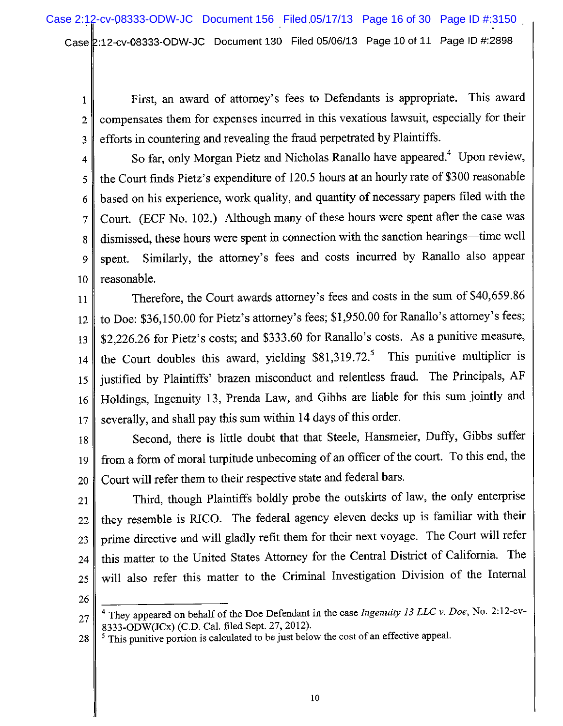First, an award of attorney's fees to Defendants is appropriate. This award  $\mathbf{1}$ compensates them for expenses incurred in this vexatious lawsuit, especially for their  $\overline{2}$ efforts in countering and revealing the fraud perpetrated by Plaintiffs.  $\overline{3}$ 

4

So far, only Morgan Pietz and Nicholas Ranallo have appeared.<sup>4</sup> Upon review, the Court finds Pietz's expenditure of 120.5 hours at an hourly rate of \$300 reasonable 5 based on his experience, work quality, and quantity of necessary papers filed with the 6 Court. (ECF No. 102.) Although many of these hours were spent after the case was  $\overline{7}$ dismissed, these hours were spent in connection with the sanction hearings—time well 8 Similarly, the attorney's fees and costs incurred by Ranallo also appear spent. 9 reasonable. 10

Therefore, the Court awards attorney's fees and costs in the sum of \$40,659.86 11 to Doe: \$36,150.00 for Pietz's attorney's fees; \$1,950.00 for Ranallo's attorney's fees; 12 \$2,226.26 for Pietz's costs; and \$333.60 for Ranallo's costs. As a punitive measure, 13 the Court doubles this award, yielding \$81,319.72.<sup>5</sup> This punitive multiplier is  $14$ justified by Plaintiffs' brazen misconduct and relentless fraud. The Principals, AF 15 Holdings, Ingenuity 13, Prenda Law, and Gibbs are liable for this sum jointly and 16 severally, and shall pay this sum within 14 days of this order. 17

Second, there is little doubt that that Steele, Hansmeier, Duffy, Gibbs suffer 18 from a form of moral turpitude unbecoming of an officer of the court. To this end, the 19 Court will refer them to their respective state and federal bars. 20

- Third, though Plaintiffs boldly probe the outskirts of law, the only enterprise 21 they resemble is RICO. The federal agency eleven decks up is familiar with their 22 prime directive and will gladly refit them for their next voyage. The Court will refer 23 this matter to the United States Attorney for the Central District of California. The 24 will also refer this matter to the Criminal Investigation Division of the Internal 25
- 26

 $<sup>5</sup>$  This punitive portion is calculated to be just below the cost of an effective appeal.</sup> 28

<sup>&</sup>lt;sup>4</sup> They appeared on behalf of the Doe Defendant in the case *Ingenuity 13 LLC v. Doe*, No. 2:12-cv-27 8333-ODW(JCx) (C.D. Cal. filed Sept. 27, 2012).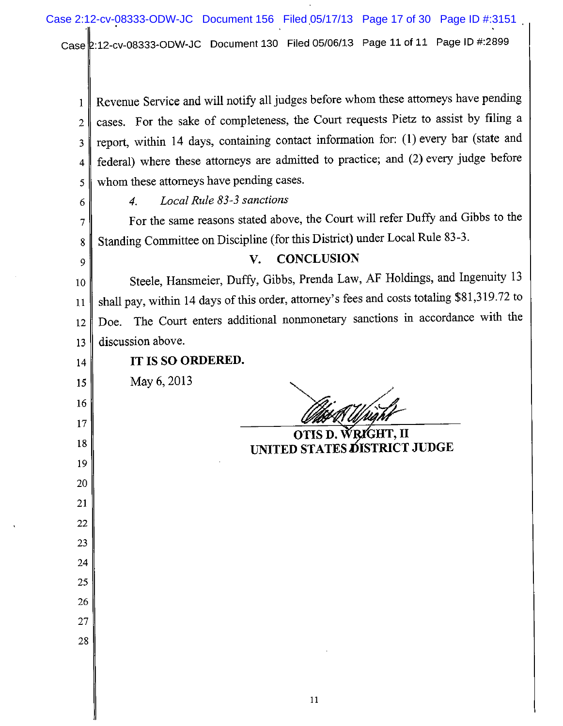| Case 2:12-cv-08333-ODW-JC Document 156 Filed 05/17/13 Page 17 of 30 Page ID #:3151 |  |  |
|------------------------------------------------------------------------------------|--|--|
| Case 2:12-cv-08333-ODW-JC Document 130 Filed 05/06/13 Page 11 of 11 Page ID #:2899 |  |  |

Revenue Service and will notify all judges before whom these attorneys have pending  $\mathbf{1}$ cases. For the sake of completeness, the Court requests Pietz to assist by filing a  $\overline{2}$ report, within 14 days, containing contact information for: (1) every bar (state and 3 federal) where these attorneys are admitted to practice; and (2) every judge before  $\overline{\mathbf{4}}$ whom these attorneys have pending cases. 5

6

 $\overline{Q}$ 

15

16

17

18

19

20

21

22

23

24

25

26

27

28

 $\overline{4}$ . Local Rule 83-3 sanctions

For the same reasons stated above, the Court will refer Duffy and Gibbs to the  $\overline{7}$ Standing Committee on Discipline (for this District) under Local Rule 83-3. 8

#### **CONCLUSION**  $\mathbf{V}_{\bullet}$

Steele, Hansmeier, Duffy, Gibbs, Prenda Law, AF Holdings, and Ingenuity 13 10 shall pay, within 14 days of this order, attorney's fees and costs totaling \$81,319.72 to 11 Doe. The Court enters additional nonmonetary sanctions in accordance with the  $12$ discussion above.  $13$ 

**IT IS SO ORDERED.**  $14$ 

May 6, 2013

I'GHT. II 01 UNITED STATES DISTRICT JUDGE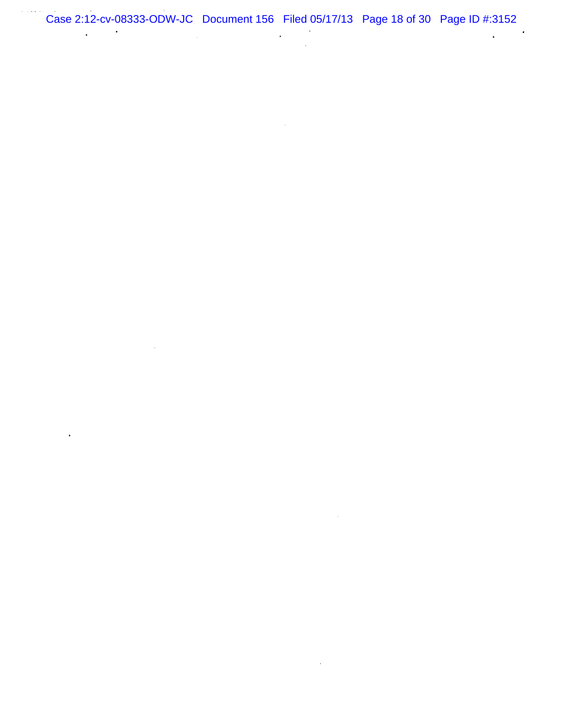Case 2:12-cv-08333-ODW-JC Document 156 Filed 05/17/13 Page 18 of 30 Page ID #:3152

 $\sim 10^{-11}$ 

 $\ddot{\phantom{0}}$ 

 $\sim$  .

 $\sim 1000$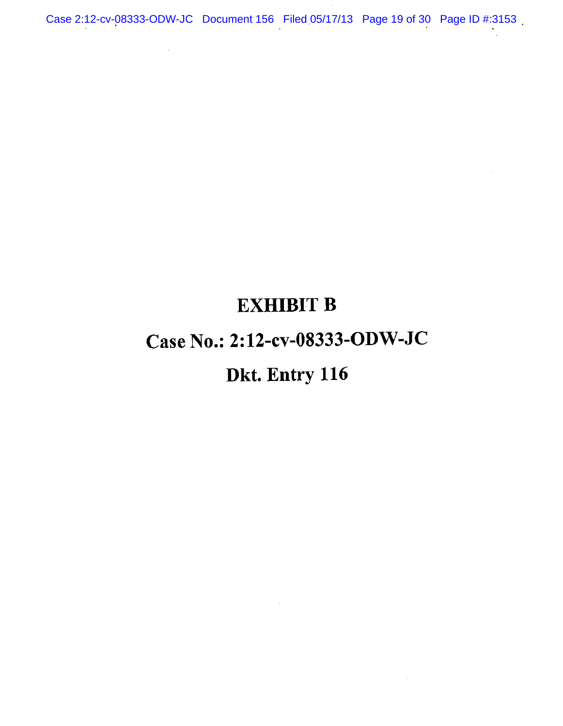Case 2:12-cv-08333-ODW-JC Document 156 Filed 05/17/13 Page 19 of 30 Page ID #:3153

# **EXHIBIT B**

# Case No.: 2:12-cv-08333-ODW-JC

# Dkt. Entry 116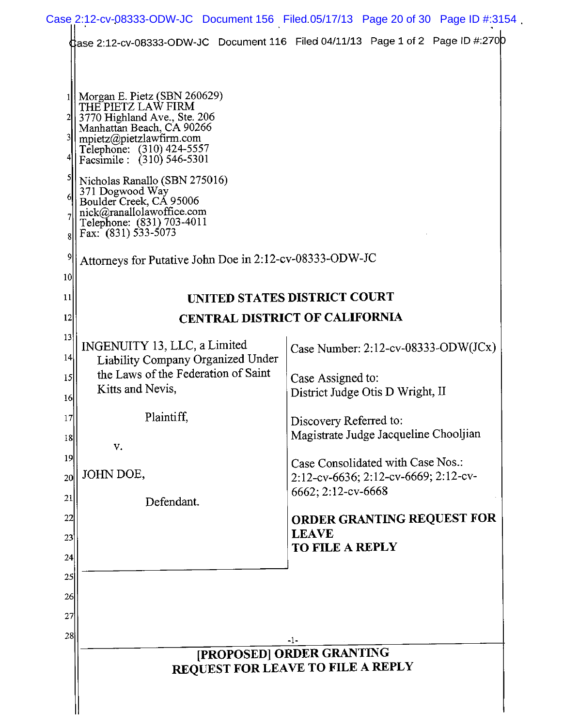| $\frac{1}{2}$ ase 2:12-cv-08333-ODW-JC Document 116 Filed 04/11/13 Page 1 of 2 Page ID #:270 $\beta$<br>Morgan E. Pietz (SBN 260629)<br>THE PIETZ LAW FIRM<br>3770 Highland Ave., Ste. 206<br>Manhattan Beach, CA 90266<br>mpietz@pietzlawfirm.com<br>Telephone: (310) 424-5557<br>Facsimile: (310) 546-5301<br>$\mathbf{p}$<br>Nicholas Ranallo (SBN 275016)<br>371 Dogwood Way<br>6<br>Boulder Creek, CA 95006<br>nick@ranallolawoffice.com<br>Telephone: (831) 703-4011<br>Fax: (831) 533-5073<br>8<br>9<br>Attorneys for Putative John Doe in 2:12-cv-08333-ODW-JC<br>10 <sub>l</sub><br>UNITED STATES DISTRICT COURT<br> 11 | Case 2:12-cv-08333-ODW-JC Document 156 Filed 05/17/13 Page 20 of 30 Page ID #:3154 |  |  |  |
|----------------------------------------------------------------------------------------------------------------------------------------------------------------------------------------------------------------------------------------------------------------------------------------------------------------------------------------------------------------------------------------------------------------------------------------------------------------------------------------------------------------------------------------------------------------------------------------------------------------------------------|------------------------------------------------------------------------------------|--|--|--|
|                                                                                                                                                                                                                                                                                                                                                                                                                                                                                                                                                                                                                                  |                                                                                    |  |  |  |
|                                                                                                                                                                                                                                                                                                                                                                                                                                                                                                                                                                                                                                  |                                                                                    |  |  |  |
|                                                                                                                                                                                                                                                                                                                                                                                                                                                                                                                                                                                                                                  |                                                                                    |  |  |  |
|                                                                                                                                                                                                                                                                                                                                                                                                                                                                                                                                                                                                                                  |                                                                                    |  |  |  |
|                                                                                                                                                                                                                                                                                                                                                                                                                                                                                                                                                                                                                                  |                                                                                    |  |  |  |
|                                                                                                                                                                                                                                                                                                                                                                                                                                                                                                                                                                                                                                  |                                                                                    |  |  |  |
| <b>CENTRAL DISTRICT OF CALIFORNIA</b><br>12                                                                                                                                                                                                                                                                                                                                                                                                                                                                                                                                                                                      |                                                                                    |  |  |  |
| 13<br>INGENUITY 13, LLC, a Limited<br>Case Number: 2:12-cv-08333-ODW(JCx)<br>14<br>Liability Company Organized Under<br>the Laws of the Federation of Saint<br>15<br>Case Assigned to:                                                                                                                                                                                                                                                                                                                                                                                                                                           |                                                                                    |  |  |  |
| Kitts and Nevis,<br>District Judge Otis D Wright, II<br>16                                                                                                                                                                                                                                                                                                                                                                                                                                                                                                                                                                       |                                                                                    |  |  |  |
| Plaintiff.<br>17 <sup> </sup><br>Discovery Referred to:<br>Magistrate Judge Jacqueline Chooljian<br>18<br>v.<br>19<br>Case Consolidated with Case Nos.:<br>JOHN DOE,<br>2:12-cv-6636; 2:12-cv-6669; 2:12-cv-<br>20                                                                                                                                                                                                                                                                                                                                                                                                               |                                                                                    |  |  |  |
| 6662; 2:12-cv-6668<br>21<br>Defendant.                                                                                                                                                                                                                                                                                                                                                                                                                                                                                                                                                                                           |                                                                                    |  |  |  |
| ORDER GRANTING REQUEST FOR<br>22<br><b>LEAVE</b><br>23<br><b>TO FILE A REPLY</b><br>24                                                                                                                                                                                                                                                                                                                                                                                                                                                                                                                                           |                                                                                    |  |  |  |
| 25                                                                                                                                                                                                                                                                                                                                                                                                                                                                                                                                                                                                                               |                                                                                    |  |  |  |
| 26                                                                                                                                                                                                                                                                                                                                                                                                                                                                                                                                                                                                                               |                                                                                    |  |  |  |
| 27                                                                                                                                                                                                                                                                                                                                                                                                                                                                                                                                                                                                                               |                                                                                    |  |  |  |
| 28<br>-1-                                                                                                                                                                                                                                                                                                                                                                                                                                                                                                                                                                                                                        |                                                                                    |  |  |  |
| [PROPOSED] ORDER GRANTING<br>REQUEST FOR LEAVE TO FILE A REPLY                                                                                                                                                                                                                                                                                                                                                                                                                                                                                                                                                                   |                                                                                    |  |  |  |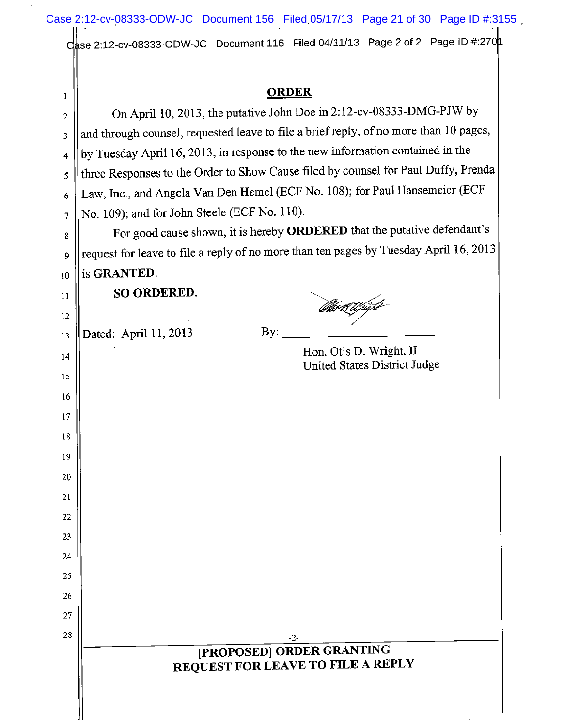|                | Case 2:12-cv-08333-ODW-JC Document 156 Filed 05/17/13 Page 21 of 30 Page ID #:3155       |  |  |  |  |
|----------------|------------------------------------------------------------------------------------------|--|--|--|--|
|                | $C$ ase 2:12-cv-08333-ODW-JC Document 116 Filed 04/11/13 Page 2 of 2 Page ID #:270 $\mu$ |  |  |  |  |
|                |                                                                                          |  |  |  |  |
| 1              | <b>ORDER</b>                                                                             |  |  |  |  |
| $\overline{a}$ | On April 10, 2013, the putative John Doe in 2:12-cv-08333-DMG-PJW by                     |  |  |  |  |
| 3              | and through counsel, requested leave to file a brief reply, of no more than 10 pages,    |  |  |  |  |
| 4              | by Tuesday April 16, 2013, in response to the new information contained in the           |  |  |  |  |
| 5              | three Responses to the Order to Show Cause filed by counsel for Paul Duffy, Prenda       |  |  |  |  |
| 6              | Law, Inc., and Angela Van Den Hemel (ECF No. 108); for Paul Hansemeier (ECF              |  |  |  |  |
| $\overline{7}$ | No. 109); and for John Steele (ECF No. 110).                                             |  |  |  |  |
| 8              | For good cause shown, it is hereby ORDERED that the putative defendant's                 |  |  |  |  |
| 9              | request for leave to file a reply of no more than ten pages by Tuesday April 16, 2013    |  |  |  |  |
| 10             | is GRANTED.                                                                              |  |  |  |  |
| 11             | SO ORDERED.                                                                              |  |  |  |  |
| 12             | <i>Aku ik Ufrig<del>n</del></i>                                                          |  |  |  |  |
| 13             | By:<br>Dated: April 11, 2013                                                             |  |  |  |  |
| 14             | Hon. Otis D. Wright, II<br>United States District Judge                                  |  |  |  |  |
| 15             |                                                                                          |  |  |  |  |
| 16             |                                                                                          |  |  |  |  |
| 17             |                                                                                          |  |  |  |  |
| 18             |                                                                                          |  |  |  |  |
| 19             |                                                                                          |  |  |  |  |
| 20             |                                                                                          |  |  |  |  |
| 21             |                                                                                          |  |  |  |  |
| 22             |                                                                                          |  |  |  |  |
| 23             |                                                                                          |  |  |  |  |
| 24             |                                                                                          |  |  |  |  |
| 25             |                                                                                          |  |  |  |  |
| 26             |                                                                                          |  |  |  |  |
| 27<br>28       |                                                                                          |  |  |  |  |
|                | $-2-$<br>[PROPOSED] ORDER GRANTING                                                       |  |  |  |  |
|                | $\Pi$ a dicidi v                                                                         |  |  |  |  |

| $-2-$                                    |
|------------------------------------------|
| [PROPOSED] ORDER GRANTING                |
| <b>REQUEST FOR LEAVE TO FILE A REPLY</b> |
|                                          |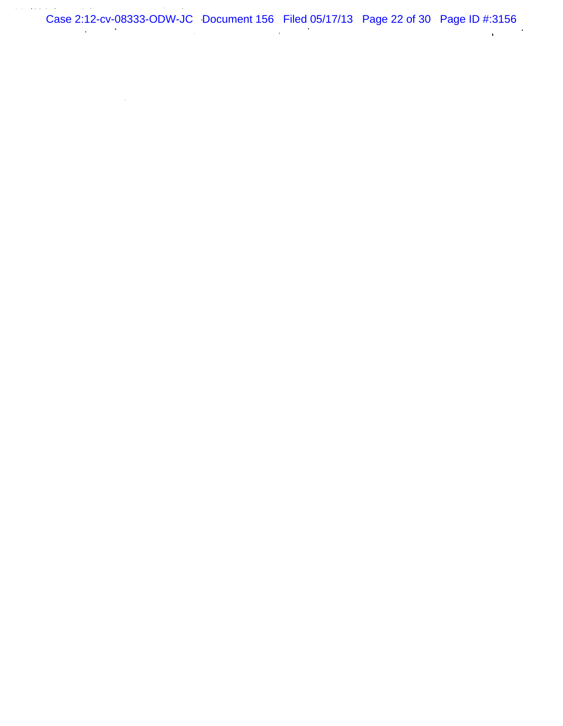Case 2:12-cv-08333-ODW-JC Document 156 Filed 05/17/13 Page 22 of 30 Page ID #:3156

المتعارف والمتواصل

 $\hat{\mathcal{A}}_{\text{max}}$  and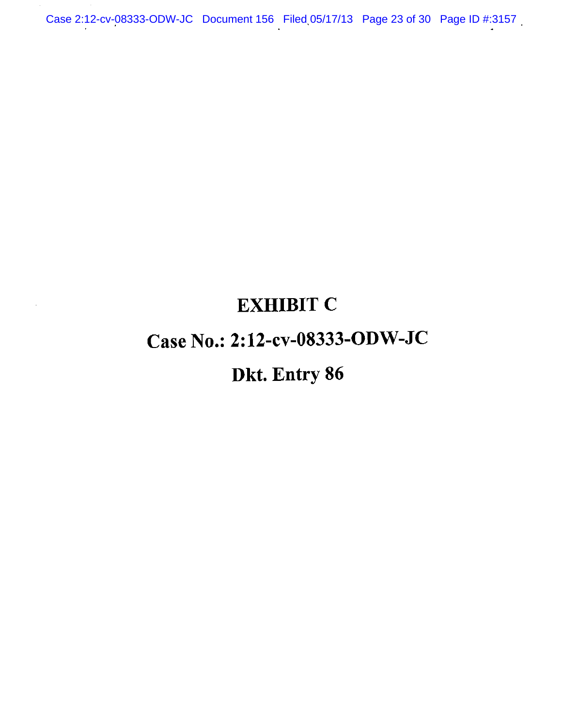Case 2:12-cv-08333-ODW-JC Document 156 Filed 05/17/13 Page 23 of 30 Page ID #:3157

# **EXHIBIT C**

## Case No.: 2:12-cv-08333-ODW-JC

# Dkt. Entry 86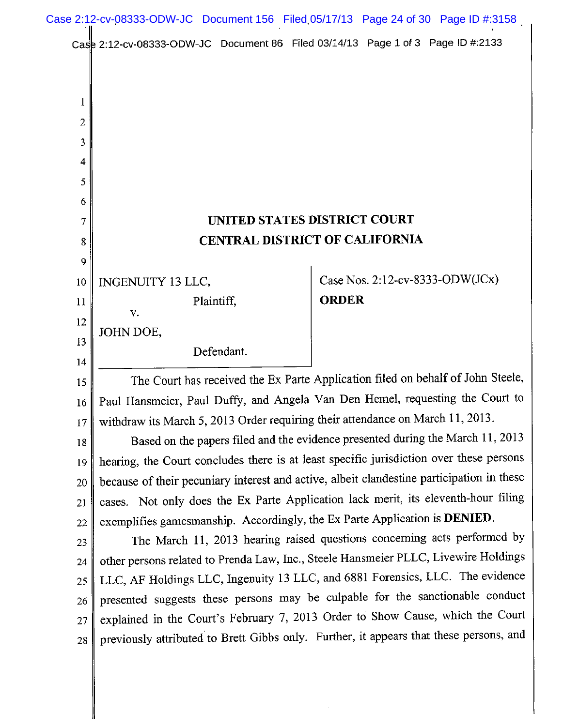Case 2:12-cv-08333-ODW-JC Document 156 Filed 05/17/13 Page 24 of 30 Page ID #:3158Case 2:12-cv-08333-ODW-JC Document 86 Filed 03/14/13 Page 1 of 3 Page ID #:2133 1  $\overline{2}$ 3 4 5 6 **UNITED STATES DISTRICT COURT**  $\overline{7}$ **CENTRAL DISTRICT OF CALIFORNIA** 8 9 Case Nos. 2:12-cv-8333-ODW(JCx) 10 **INGENUITY 13 LLC, ORDER** Plaintiff, 11 V.  $12$ JOHN DOE, 13 Defendant. 14 The Court has received the Ex Parte Application filed on behalf of John Steele, 15 Paul Hansmeier, Paul Duffy, and Angela Van Den Hemel, requesting the Court to 16 withdraw its March 5, 2013 Order requiring their attendance on March 11, 2013. 17 Based on the papers filed and the evidence presented during the March 11, 2013 18 hearing, the Court concludes there is at least specific jurisdiction over these persons 19 because of their pecuniary interest and active, albeit clandestine participation in these 20 cases. Not only does the Ex Parte Application lack merit, its eleventh-hour filing 21 exemplifies gamesmanship. Accordingly, the Ex Parte Application is DENIED. 22 The March 11, 2013 hearing raised questions concerning acts performed by 23 other persons related to Prenda Law, Inc., Steele Hansmeier PLLC, Livewire Holdings 24 LLC, AF Holdings LLC, Ingenuity 13 LLC, and 6881 Forensics, LLC. The evidence 25 presented suggests these persons may be culpable for the sanctionable conduct 26 explained in the Court's February 7, 2013 Order to Show Cause, which the Court 27 previously attributed to Brett Gibbs only. Further, it appears that these persons, and 28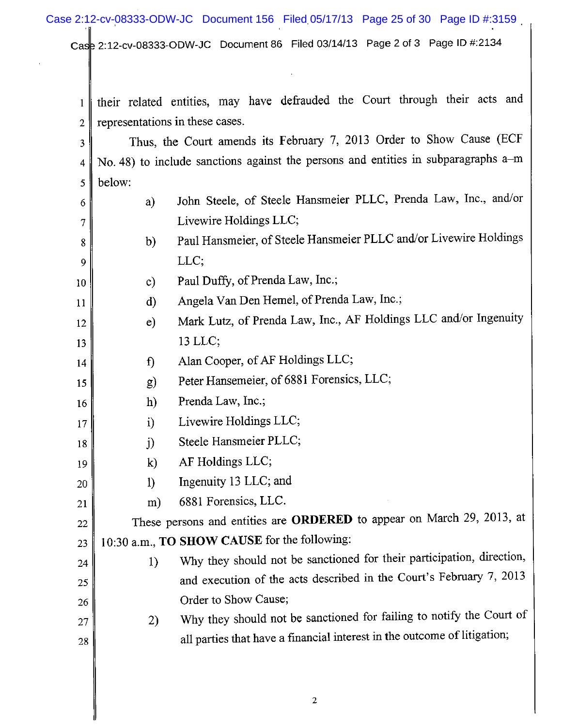Case 2:12-cv-08333-ODW-JC Document 156 Filed 05/17/13 Page 25 of 30 Page ID #:3159 Case 2:12-cv-08333-ODW-JC Document 86 Filed 03/14/13 Page 2 of 3 Page ID #:2134

their related entities, may have defrauded the Court through their acts and  $\mathbf{1}$ representations in these cases.  $\overline{2}$ 

Thus, the Court amends its February 7, 2013 Order to Show Cause (ECF  $\overline{3}$ No. 48) to include sanctions against the persons and entities in subparagraphs a-m  $\overline{4}$ helow: 5

- John Steele, of Steele Hansmeier PLLC, Prenda Law, Inc., and/or  $a)$ Livewire Holdings LLC;
- Paul Hansmeier, of Steele Hansmeier PLLC and/or Livewire Holdings  $b)$ LLC:
- Paul Duffy, of Prenda Law, Inc.;  $c)$ 
	- Angela Van Den Hemel, of Prenda Law, Inc.;  $\mathbf{d}$
- Mark Lutz, of Prenda Law, Inc., AF Holdings LLC and/or Ingenuity  $e)$ 13 LLC;
	- Alan Cooper, of AF Holdings LLC;  $\mathbf{f}$ 
		- Peter Hansemeier, of 6881 Forensics, LLC;  $g$
- Prenda Law, Inc.;  $h)$ 16

6

 $\overline{7}$ 

8

 $\mathbf Q$ 

10

11

12

13

14

 $15$ 

18

20

21

24

25

26

- Livewire Holdings LLC;  $i)$  $17$ 
	- Steele Hansmeier PLLC;  $\mathbf{j}$
- AF Holdings LLC;  $\mathbf{k}$ 19
	- Ingenuity 13 LLC; and  $\mathbf{D}$
	- 6881 Forensics, LLC.  $m)$

These persons and entities are ORDERED to appear on March 29, 2013, at 22 10:30 a.m., TO SHOW CAUSE for the following: 23

- Why they should not be sanctioned for their participation, direction,  $\left| \right\rangle$ and execution of the acts described in the Court's February 7, 2013 Order to Show Cause;
- Why they should not be sanctioned for failing to notify the Court of 2) 27 all parties that have a financial interest in the outcome of litigation; 28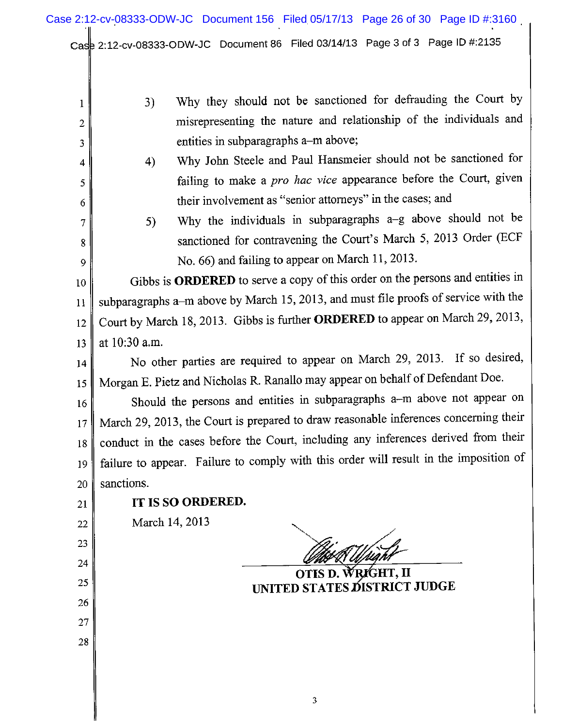- Why they should not be sanctioned for defrauding the Court by  $3)$ misrepresenting the nature and relationship of the individuals and entities in subparagraphs a-m above;
- Why John Steele and Paul Hansmeier should not be sanctioned for  $4)$ failing to make a pro hac vice appearance before the Court, given their involvement as "senior attorneys" in the cases; and
- Why the individuals in subparagraphs a-g above should not be  $5)$ sanctioned for contravening the Court's March 5, 2013 Order (ECF No. 66) and failing to appear on March 11, 2013.

Gibbs is ORDERED to serve a copy of this order on the persons and entities in 10 subparagraphs a-m above by March 15, 2013, and must file proofs of service with the 11 Court by March 18, 2013. Gibbs is further ORDERED to appear on March 29, 2013,  $12$ at 10:30 a.m. 13

No other parties are required to appear on March 29, 2013. If so desired, 14 Morgan E. Pietz and Nicholas R. Ranallo may appear on behalf of Defendant Doe. 15

Should the persons and entities in subparagraphs a-m above not appear on 16 March 29, 2013, the Court is prepared to draw reasonable inferences concerning their  $17$ conduct in the cases before the Court, including any inferences derived from their 18 failure to appear. Failure to comply with this order will result in the imposition of 19 sanctions. 20

21

22

23

24

25

26

27

28

 $\mathbf{1}$ 

 $\overline{2}$ 

3

 $\overline{\mathbf{4}}$ 

5

6

 $\overline{7}$ 

8

9

IT IS SO ORDERED.

March 14, 2013

WRIGHT. II **UNITED STATES DISTRICT JUDGE**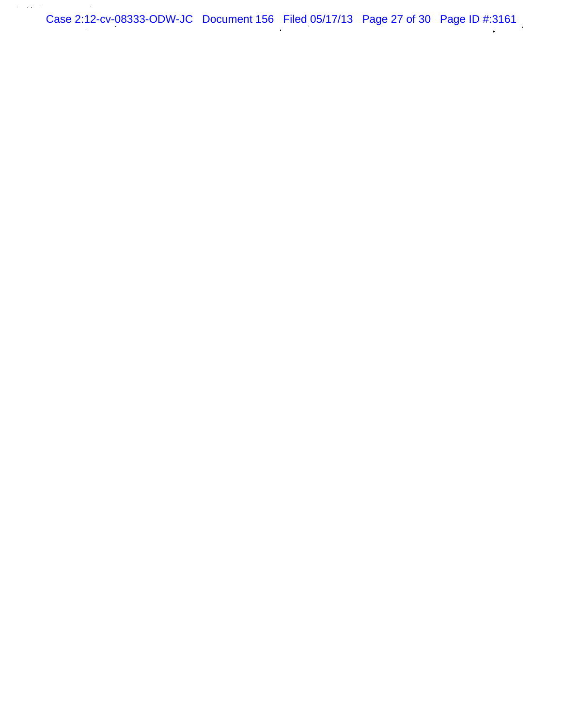Case 2:12-cv-08333-ODW-JC Document 156 Filed 05/17/13 Page 27 of 30 Page ID #:3161

 $\hat{\boldsymbol{\theta}}$  , and  $\hat{\boldsymbol{\theta}}$ 

 $\alpha$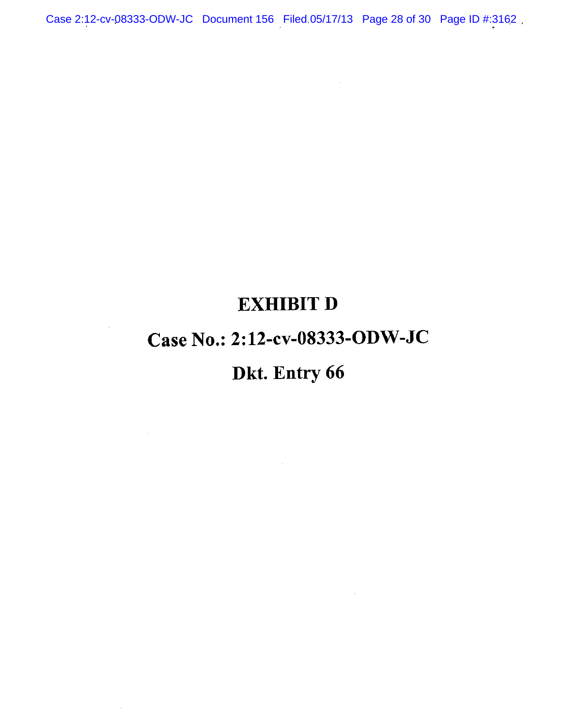Case 2:12-cv-08333-ODW-JC Document 156 Filed 05/17/13 Page 28 of 30 Page ID #:3162

### **EXHIBIT D**

## Case No.: 2:12-cv-08333-ODW-JC

# Dkt. Entry 66

 $\sim$ 

 $\sim$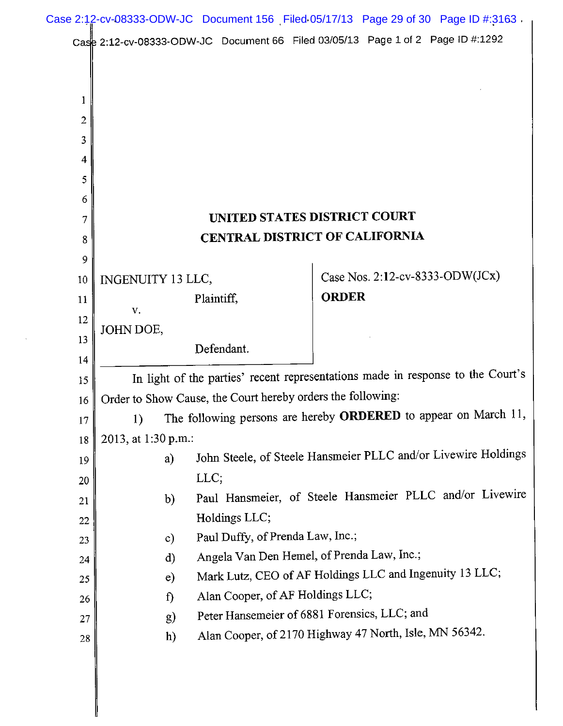|          |                                                                      |                                                             | Case 2:12-cv-08333-ODW-JC Document 156 Filed 05/17/13 Page 29 of 30 Page ID #:3163 |  |
|----------|----------------------------------------------------------------------|-------------------------------------------------------------|------------------------------------------------------------------------------------|--|
|          |                                                                      |                                                             | Case 2:12-cv-08333-ODW-JC Document 66 Filed 03/05/13 Page 1 of 2 Page ID #:1292    |  |
|          |                                                                      |                                                             |                                                                                    |  |
|          |                                                                      |                                                             |                                                                                    |  |
| 1        |                                                                      |                                                             |                                                                                    |  |
| 2        |                                                                      |                                                             |                                                                                    |  |
| 3        |                                                                      |                                                             |                                                                                    |  |
| 4        |                                                                      |                                                             |                                                                                    |  |
| 5        |                                                                      |                                                             |                                                                                    |  |
| 6        |                                                                      |                                                             |                                                                                    |  |
| 7        |                                                                      |                                                             | UNITED STATES DISTRICT COURT                                                       |  |
| 8        |                                                                      |                                                             | <b>CENTRAL DISTRICT OF CALIFORNIA</b>                                              |  |
| 9        |                                                                      |                                                             | Case Nos. 2:12-cv-8333-ODW(JCx)                                                    |  |
| 10       | INGENUITY 13 LLC,                                                    |                                                             | <b>ORDER</b>                                                                       |  |
| 11       | V.                                                                   | Plaintiff,                                                  |                                                                                    |  |
| 12       | JOHN DOE,                                                            |                                                             |                                                                                    |  |
| 13       |                                                                      | Defendant.                                                  |                                                                                    |  |
| 14<br>15 |                                                                      |                                                             | In light of the parties' recent representations made in response to the Court's    |  |
| 16       |                                                                      | Order to Show Cause, the Court hereby orders the following: |                                                                                    |  |
| 17       | $\bf{1}$                                                             |                                                             | The following persons are hereby ORDERED to appear on March 11,                    |  |
| 18       | 2013, at 1:30 p.m.:                                                  |                                                             |                                                                                    |  |
| 19       | John Steele, of Steele Hansmeier PLLC and/or Livewire Holdings<br>a) |                                                             |                                                                                    |  |
| 20       | LLC;                                                                 |                                                             |                                                                                    |  |
| 21       | Paul Hansmeier, of Steele Hansmeier PLLC and/or Livewire<br>b)       |                                                             |                                                                                    |  |
| 22       |                                                                      | Holdings LLC;                                               |                                                                                    |  |
| 23       | $\mathbf{c})$                                                        | Paul Duffy, of Prenda Law, Inc.;                            |                                                                                    |  |
| 24       | $\mathbf{d}$                                                         | Angela Van Den Hemel, of Prenda Law, Inc.;                  |                                                                                    |  |
| 25       | Mark Lutz, CEO of AF Holdings LLC and Ingenuity 13 LLC;<br>e)        |                                                             |                                                                                    |  |
| 26       | f                                                                    | Alan Cooper, of AF Holdings LLC;                            |                                                                                    |  |
| 27       | g)                                                                   |                                                             | Peter Hansemeier of 6881 Forensics, LLC; and                                       |  |
| 28       | h)                                                                   |                                                             | Alan Cooper, of 2170 Highway 47 North, Isle, MN 56342.                             |  |
|          |                                                                      |                                                             |                                                                                    |  |